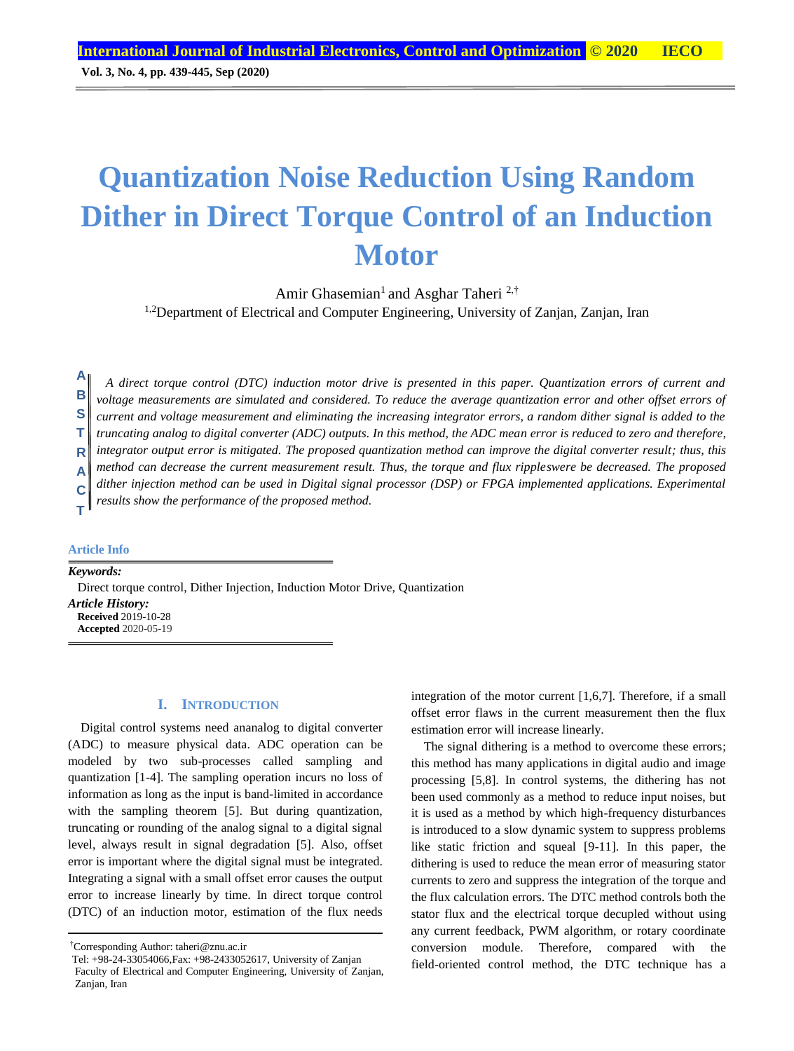# **Quantization Noise Reduction Using Random Dither in Direct Torque Control of an Induction Motor**

Amir Ghasemian<sup>1</sup> and Asghar Taheri <sup>2,†</sup> <sup>1,2</sup>Department of Electrical and Computer Engineering, University of Zanjan, Zanjan, Iran

*A direct torque control (DTC) induction motor drive is presented in this paper. Quantization errors of current and voltage measurements are simulated and considered. To reduce the average quantization error and other offset errors of current and voltage measurement and eliminating the increasing integrator errors, a random dither signal is added to the truncating analog to digital converter (ADC) outputs. In this method, the ADC mean error is reduced to zero and therefore, integrator output error is mitigated. The proposed quantization method can improve the digital converter result; thus, this method can decrease the current measurement result. Thus, the torque and flux rippleswere be decreased. The proposed dither injection method can be used in Digital signal processor (DSP) or FPGA implemented applications. Experimental results show the performance of the proposed method.* **A B S T R A C**

#### **Article Info**

**T**

*Keywords:* Direct torque control, Dither Injection, Induction Motor Drive, Quantization *Article History:* **Received** 2019-10-28 **Accepted** 2020-05-19

## **I. INTRODUCTION**

Digital control systems need ananalog to digital converter (ADC) to measure physical data. ADC operation can be modeled by two sub-processes called sampling and quantization [1-4]. The sampling operation incurs no loss of information as long as the input is band-limited in accordance with the sampling theorem [5]. But during quantization, truncating or rounding of the analog signal to a digital signal level, always result in signal degradation [5]. Also, offset error is important where the digital signal must be integrated. Integrating a signal with a small offset error causes the output error to increase linearly by time. In direct torque control (DTC) of an induction motor, estimation of the flux needs integration of the motor current [1,6,7]. Therefore, if a small offset error flaws in the current measurement then the flux estimation error will increase linearly.

The signal dithering is a method to overcome these errors; this method has many applications in digital audio and image processing [5,8]. In control systems, the dithering has not been used commonly as a method to reduce input noises, but it is used as a method by which high-frequency disturbances is introduced to a slow dynamic system to suppress problems like static friction and squeal [9-11]. In this paper, the dithering is used to reduce the mean error of measuring stator currents to zero and suppress the integration of the torque and the flux calculation errors. The DTC method controls both the stator flux and the electrical torque decupled without using any current feedback, PWM algorithm, or rotary coordinate conversion module. Therefore, compared with the field-oriented control method, the DTC technique has a

<sup>†</sup>Corresponding Author: taheri@znu.ac.ir

Tel: +98-24-33054066,Fax: +98-2433052617, University of Zanjan Faculty of Electrical and Computer Engineering, University of Zanjan, Zanjan, Iran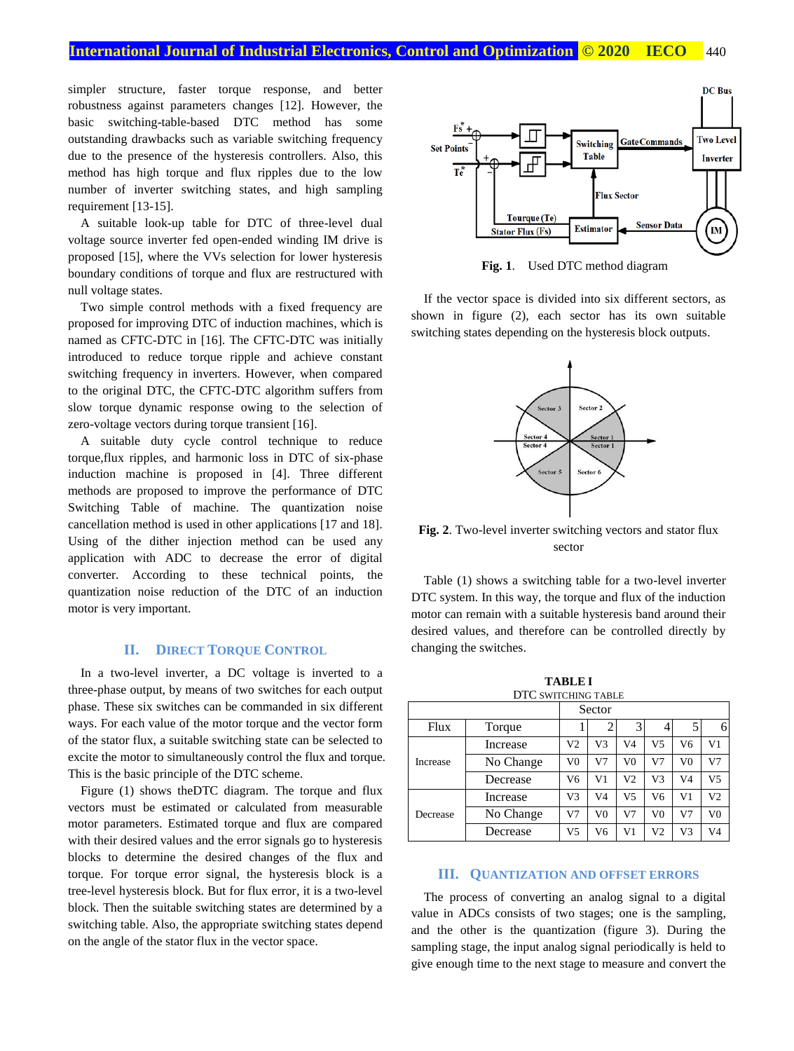## **International Journal of Industrial Electronics, Control and Optimization © 2020 IECO** 440

simpler structure, faster torque response, and better robustness against parameters changes [12]. However, the basic switching-table-based DTC method has some outstanding drawbacks such as variable switching frequency due to the presence of the hysteresis controllers. Also, this method has high torque and flux ripples due to the low number of inverter switching states, and high sampling requirement [13-15].

A suitable look-up table for DTC of three-level dual voltage source inverter fed open-ended winding IM drive is proposed [15], where the VVs selection for lower hysteresis boundary conditions of torque and flux are restructured with null voltage states.

Two simple control methods with a fixed frequency are proposed for improving DTC of induction machines, which is named as CFTC-DTC in [16]. The CFTC-DTC was initially introduced to reduce torque ripple and achieve constant switching frequency in inverters. However, when compared to the original DTC, the CFTC-DTC algorithm suffers from slow torque dynamic response owing to the selection of zero-voltage vectors during torque transient [16].

A suitable duty cycle control technique to reduce torque,flux ripples, and harmonic loss in DTC of six-phase induction machine is proposed in [4]. Three different methods are proposed to improve the performance of DTC Switching Table of machine. The quantization noise cancellation method is used in other applications [17 and 18]. Using of the dither injection method can be used any application with ADC to decrease the error of digital converter. According to these technical points, the quantization noise reduction of the DTC of an induction motor is very important.

## **II. DIRECT TORQUE CONTROL**

In a two-level inverter, a DC voltage is inverted to a three-phase output, by means of two switches for each output phase. These six switches can be commanded in six different ways. For each value of the motor torque and the vector form of the stator flux, a suitable switching state can be selected to excite the motor to simultaneously control the flux and torque. This is the basic principle of the DTC scheme.

Figure (1) shows theDTC diagram. The torque and flux vectors must be estimated or calculated from measurable motor parameters. Estimated torque and flux are compared with their desired values and the error signals go to hysteresis blocks to determine the desired changes of the flux and torque. For torque error signal, the hysteresis block is a tree-level hysteresis block. But for flux error, it is a two-level block. Then the suitable switching states are determined by a switching table. Also, the appropriate switching states depend on the angle of the stator flux in the vector space.



**Fig. 1**. Used DTC method diagram

If the vector space is divided into six different sectors, as shown in figure (2), each sector has its own suitable switching states depending on the hysteresis block outputs.



**Fig. 2**. Two-level inverter switching vectors and stator flux sector

Table (1) shows a switching table for a two-level inverter DTC system. In this way, the torque and flux of the induction motor can remain with a suitable hysteresis band around their desired values, and therefore can be controlled directly by changing the switches.

**TABLE I**

| DTC SWITCHING TABLE |           |                |                |                |                |                |                |
|---------------------|-----------|----------------|----------------|----------------|----------------|----------------|----------------|
|                     |           | Sector         |                |                |                |                |                |
| Flux                | Torque    |                |                | 3              |                |                | 6              |
| Increase            | Increase  | V <sub>2</sub> | V3             | V <sub>4</sub> | V5             | V6             | V <sub>1</sub> |
|                     | No Change | V <sub>0</sub> | V <sub>7</sub> | V <sub>0</sub> | V <sub>7</sub> | V <sub>0</sub> | V <sub>7</sub> |
|                     | Decrease  | V <sub>6</sub> | V <sub>1</sub> | V <sub>2</sub> | V3             | V4             | V <sub>5</sub> |
| Decrease            | Increase  | V3             | V <sub>4</sub> | V <sub>5</sub> | V <sub>6</sub> | V <sub>1</sub> | V <sub>2</sub> |
|                     | No Change | V <sub>7</sub> | V <sub>0</sub> | V <sub>7</sub> | V <sub>0</sub> | V <sub>7</sub> | V <sub>0</sub> |
|                     | Decrease  | V <sub>5</sub> | V6             | V <sub>1</sub> | V <sub>2</sub> | V3             | V <sub>4</sub> |

#### **III. QUANTIZATION AND OFFSET ERRORS**

The process of converting an analog signal to a digital value in ADCs consists of two stages; one is the sampling, and the other is the quantization (figure 3). During the sampling stage, the input analog signal periodically is held to give enough time to the next stage to measure and convert the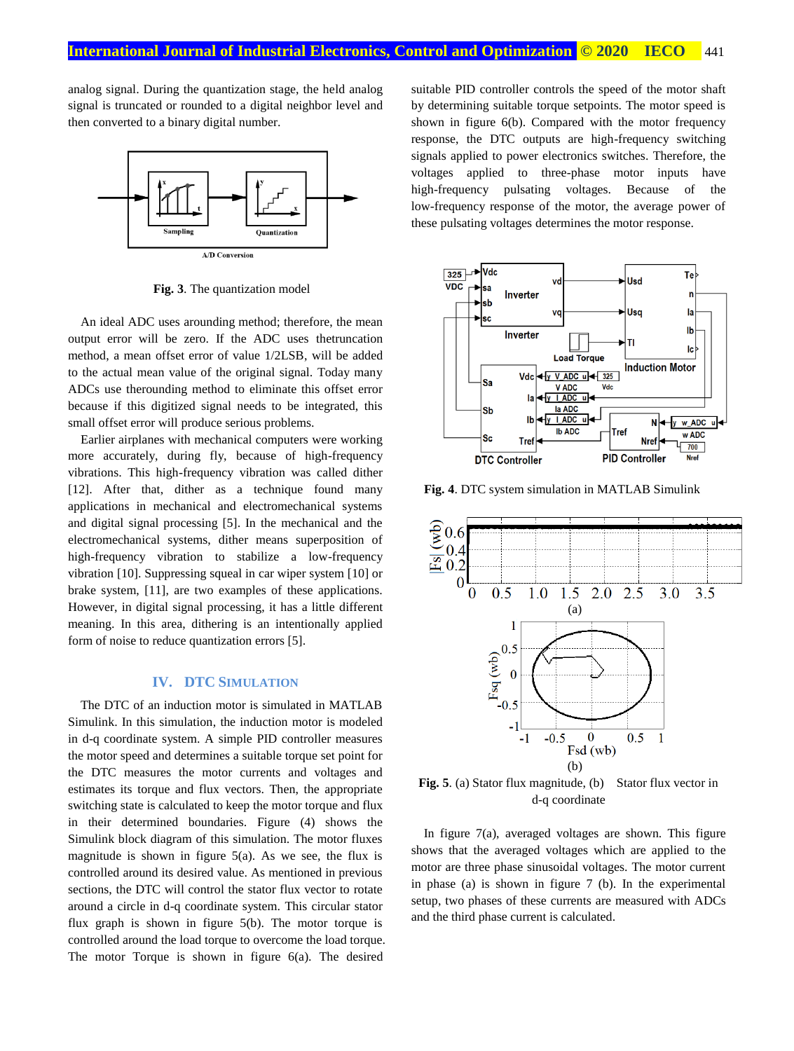analog signal. During the quantization stage, the held analog signal is truncated or rounded to a digital neighbor level and then converted to a binary digital number.



**Fig. 3**. The quantization model

An ideal ADC uses arounding method; therefore, the mean output error will be zero. If the ADC uses thetruncation method, a mean offset error of value 1/2LSB, will be added to the actual mean value of the original signal. Today many ADCs use therounding method to eliminate this offset error because if this digitized signal needs to be integrated, this small offset error will produce serious problems.

Earlier airplanes with mechanical computers were working more accurately, during fly, because of high-frequency vibrations. This high-frequency vibration was called dither [12]. After that, dither as a technique found many applications in mechanical and electromechanical systems and digital signal processing [5]. In the mechanical and the electromechanical systems, dither means superposition of high-frequency vibration to stabilize a low-frequency vibration [10]. Suppressing squeal in car wiper system [10] or brake system, [11], are two examples of these applications. However, in digital signal processing, it has a little different meaning. In this area, dithering is an intentionally applied form of noise to reduce quantization errors [5].

#### **IV. DTC SIMULATION**

The DTC of an induction motor is simulated in MATLAB Simulink. In this simulation, the induction motor is modeled in d-q coordinate system. A simple PID controller measures the motor speed and determines a suitable torque set point for the DTC measures the motor currents and voltages and estimates its torque and flux vectors. Then, the appropriate switching state is calculated to keep the motor torque and flux in their determined boundaries. Figure (4) shows the Simulink block diagram of this simulation. The motor fluxes magnitude is shown in figure 5(a). As we see, the flux is controlled around its desired value. As mentioned in previous sections, the DTC will control the stator flux vector to rotate around a circle in d-q coordinate system. This circular stator flux graph is shown in figure 5(b). The motor torque is controlled around the load torque to overcome the load torque. The motor Torque is shown in figure 6(a). The desired

suitable PID controller controls the speed of the motor shaft by determining suitable torque setpoints. The motor speed is shown in figure 6(b). Compared with the motor frequency response, the DTC outputs are high-frequency switching signals applied to power electronics switches. Therefore, the voltages applied to three-phase motor inputs have high-frequency pulsating voltages. Because of the low-frequency response of the motor, the average power of these pulsating voltages determines the motor response.



**Fig. 4**. DTC system simulation in MATLAB Simulink



**Fig. 5**. (a) Stator flux magnitude, (b) Stator flux vector in d-q coordinate

In figure 7(a), averaged voltages are shown. This figure shows that the averaged voltages which are applied to the motor are three phase sinusoidal voltages. The motor current in phase (a) is shown in figure 7 (b). In the experimental setup, two phases of these currents are measured with ADCs and the third phase current is calculated.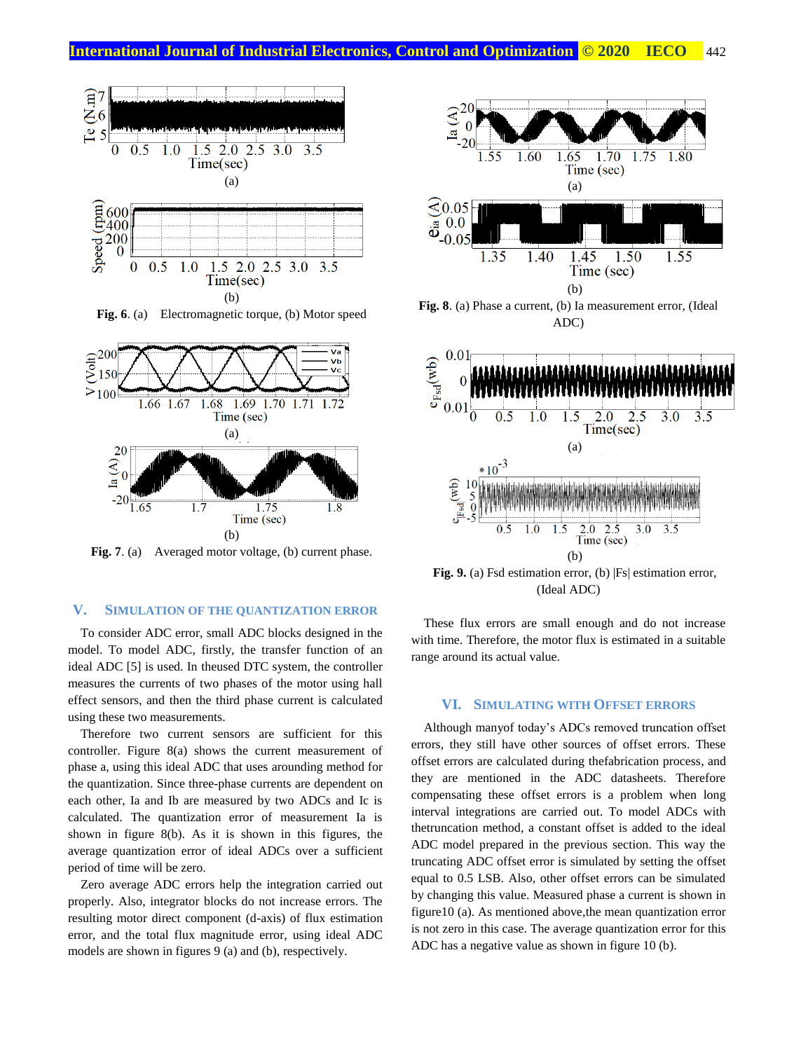

**Fig. 6**. (a) Electromagnetic torque, (b) Motor speed



Fig. 7. (a) Averaged motor voltage, (b) current phase.

## **V. SIMULATION OF THE QUANTIZATION ERROR**

To consider ADC error, small ADC blocks designed in the model. To model ADC, firstly, the transfer function of an ideal ADC [5] is used. In theused DTC system, the controller measures the currents of two phases of the motor using hall effect sensors, and then the third phase current is calculated using these two measurements.

Therefore two current sensors are sufficient for this controller. Figure 8(a) shows the current measurement of phase a, using this ideal ADC that uses arounding method for the quantization. Since three-phase currents are dependent on each other, Ia and Ib are measured by two ADCs and Ic is calculated. The quantization error of measurement Ia is shown in figure 8(b). As it is shown in this figures, the average quantization error of ideal ADCs over a sufficient period of time will be zero.

Zero average ADC errors help the integration carried out properly. Also, integrator blocks do not increase errors. The resulting motor direct component (d-axis) of flux estimation error, and the total flux magnitude error, using ideal ADC models are shown in figures 9 (a) and (b), respectively.





**Fig. 9.** (a) Fsd estimation error, (b) |Fs| estimation error, (Ideal ADC)

These flux errors are small enough and do not increase with time. Therefore, the motor flux is estimated in a suitable range around its actual value.

## **VI. SIMULATING WITH OFFSET ERRORS**

Although manyof today's ADCs removed truncation offset errors, they still have other sources of offset errors. These offset errors are calculated during thefabrication process, and they are mentioned in the ADC datasheets. Therefore compensating these offset errors is a problem when long interval integrations are carried out. To model ADCs with thetruncation method, a constant offset is added to the ideal ADC model prepared in the previous section. This way the truncating ADC offset error is simulated by setting the offset equal to 0.5 LSB. Also, other offset errors can be simulated by changing this value. Measured phase a current is shown in figure10 (a). As mentioned above,the mean quantization error is not zero in this case. The average quantization error for this ADC has a negative value as shown in figure 10 (b).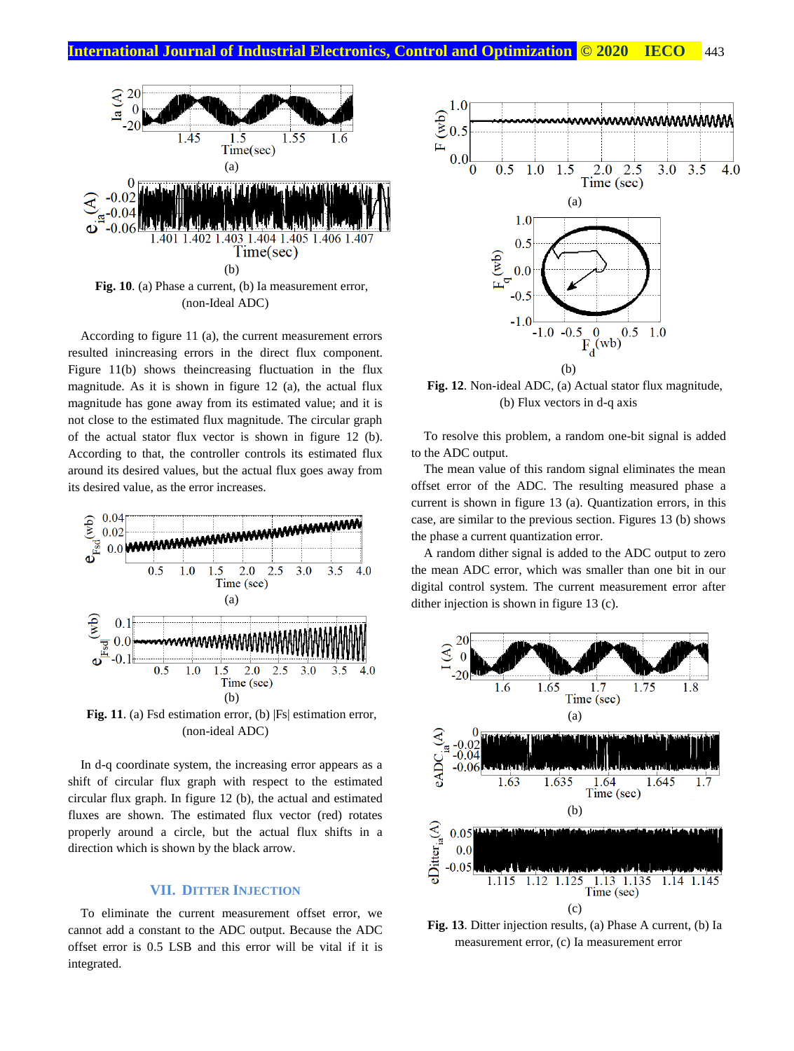

According to figure 11 (a), the current measurement errors resulted inincreasing errors in the direct flux component. Figure 11(b) shows theincreasing fluctuation in the flux magnitude. As it is shown in figure 12 (a), the actual flux magnitude has gone away from its estimated value; and it is not close to the estimated flux magnitude. The circular graph of the actual stator flux vector is shown in figure 12 (b). According to that, the controller controls its estimated flux around its desired values, but the actual flux goes away from its desired value, as the error increases.



**Fig. 11**. (a) Fsd estimation error, (b) |Fs| estimation error, (non-ideal ADC)

In d-q coordinate system, the increasing error appears as a shift of circular flux graph with respect to the estimated circular flux graph. In figure 12 (b), the actual and estimated fluxes are shown. The estimated flux vector (red) rotates properly around a circle, but the actual flux shifts in a direction which is shown by the black arrow.

## **VII. DITTER INJECTION**

To eliminate the current measurement offset error, we cannot add a constant to the ADC output. Because the ADC offset error is 0.5 LSB and this error will be vital if it is integrated.



**Fig. 12**. Non-ideal ADC, (a) Actual stator flux magnitude, (b) Flux vectors in d-q axis

To resolve this problem, a random one-bit signal is added to the ADC output.

The mean value of this random signal eliminates the mean offset error of the ADC. The resulting measured phase a current is shown in figure 13 (a). Quantization errors, in this case, are similar to the previous section. Figures 13 (b) shows the phase a current quantization error.

A random dither signal is added to the ADC output to zero the mean ADC error, which was smaller than one bit in our digital control system. The current measurement error after dither injection is shown in figure 13 (c).



**Fig. 13**. Ditter injection results, (a) Phase A current, (b) Ia measurement error, (c) Ia measurement error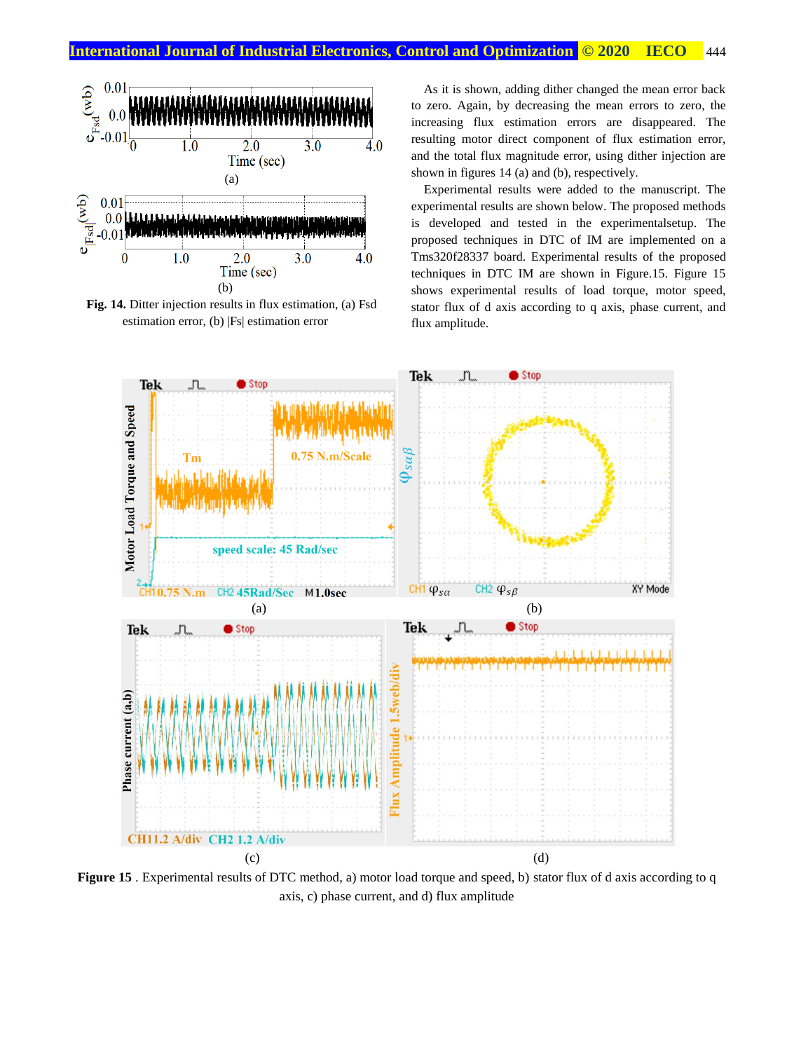

**Fig. 14.** Ditter injection results in flux estimation, (a) Fsd estimation error, (b) |Fs| estimation error

As it is shown, adding dither changed the mean error back to zero. Again, by decreasing the mean errors to zero, the increasing flux estimation errors are disappeared. The resulting motor direct component of flux estimation error, and the total flux magnitude error, using dither injection are shown in figures 14 (a) and (b), respectively.

Experimental results were added to the manuscript. The experimental results are shown below. The proposed methods is developed and tested in the experimentalsetup. The proposed techniques in DTC of IM are implemented on a Tms320f28337 board. Experimental results of the proposed techniques in DTC IM are shown in Figure.15. Figure 15 shows experimental results of load torque, motor speed, stator flux of d axis according to q axis, phase current, and flux amplitude.



**Figure 15** . Experimental results of DTC method, a) motor load torque and speed, b) stator flux of d axis according to q axis, c) phase current, and d) flux amplitude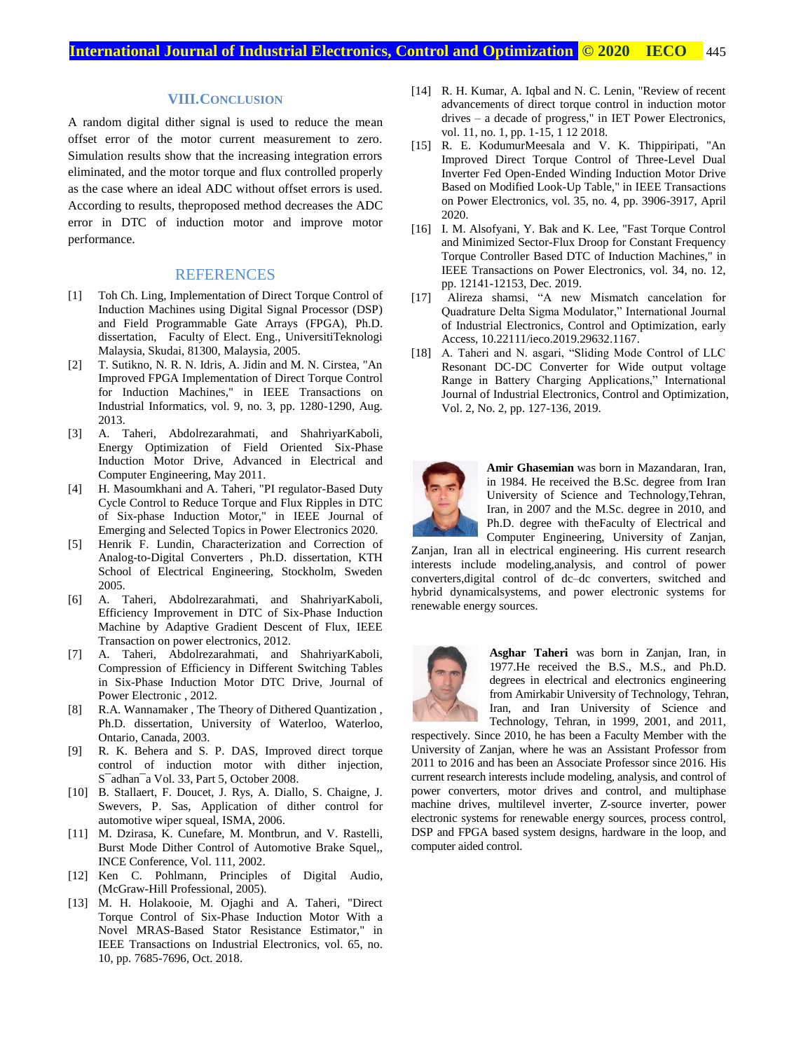### **VIII.CONCLUSION**

A random digital dither signal is used to reduce the mean offset error of the motor current measurement to zero. Simulation results show that the increasing integration errors eliminated, and the motor torque and flux controlled properly as the case where an ideal ADC without offset errors is used. According to results, theproposed method decreases the ADC error in DTC of induction motor and improve motor performance.

## REFERENCES

- [1] Toh Ch. Ling, Implementation of Direct Torque Control of Induction Machines using Digital Signal Processor (DSP) and Field Programmable Gate Arrays (FPGA), Ph.D. dissertation, Faculty of Elect. Eng., UniversitiTeknologi Malaysia, Skudai, 81300, Malaysia, 2005.
- [2] T. Sutikno, N. R. N. Idris, A. Jidin and M. N. Cirstea, "An Improved FPGA Implementation of Direct Torque Control for Induction Machines," in IEEE Transactions on Industrial Informatics, vol. 9, no. 3, pp. 1280-1290, Aug. 2013.
- [3] A. Taheri, Abdolrezarahmati, and ShahriyarKaboli, Energy Optimization of Field Oriented Six-Phase Induction Motor Drive, Advanced in Electrical and Computer Engineering, May 2011.
- [4] H. Masoumkhani and A. Taheri, "PI regulator-Based Duty Cycle Control to Reduce Torque and Flux Ripples in DTC of Six-phase Induction Motor," in IEEE Journal of Emerging and Selected Topics in Power Electronics 2020.
- [5] Henrik F. Lundin, Characterization and Correction of Analog-to-Digital Converters , Ph.D. dissertation, KTH School of Electrical Engineering, Stockholm, Sweden 2005.
- [6] A. Taheri, Abdolrezarahmati, and ShahriyarKaboli, Efficiency Improvement in DTC of Six-Phase Induction Machine by Adaptive Gradient Descent of Flux, IEEE Transaction on power electronics, 2012.
- [7] A. Taheri, Abdolrezarahmati, and ShahriyarKaboli, Compression of Efficiency in Different Switching Tables in Six-Phase Induction Motor DTC Drive, Journal of Power Electronic , 2012.
- [8] R.A. Wannamaker , The Theory of Dithered Quantization , Ph.D. dissertation, University of Waterloo, Waterloo, Ontario, Canada, 2003.
- [9] R. K. Behera and S. P. DAS, Improved direct torque control of induction motor with dither injection, S¯adhan¯a Vol. 33, Part 5, October 2008.
- [10] B. Stallaert, F. Doucet, J. Rys, A. Diallo, S. Chaigne, J. Swevers, P. Sas, Application of dither control for automotive wiper squeal, ISMA, 2006.
- [11] M. Dzirasa, K. Cunefare, M. Montbrun, and V. Rastelli, Burst Mode Dither Control of Automotive Brake Squel,, INCE Conference, Vol. 111, 2002.
- [12] Ken C. Pohlmann, [Principles of Digital Audio,](http://books.google.com/?id=VZw6z9a03ikC&pg=PA49&dq=didderen+dither+intitle:Principles+intitle:of+intitle:Digital+intitle:Audio) (McGraw-Hill Professional, 2005).
- [13] M. H. Holakooie, M. Ojaghi and A. Taheri, "Direct Torque Control of Six-Phase Induction Motor With a Novel MRAS-Based Stator Resistance Estimator," in IEEE Transactions on Industrial Electronics, vol. 65, no. 10, pp. 7685-7696, Oct. 2018.
- [14] R. H. Kumar, A. Iqbal and N. C. Lenin, "Review of recent advancements of direct torque control in induction motor drives – a decade of progress," in IET Power Electronics, vol. 11, no. 1, pp. 1-15, 1 12 2018.
- [15] R. E. KodumurMeesala and V. K. Thippiripati, "An Improved Direct Torque Control of Three-Level Dual Inverter Fed Open-Ended Winding Induction Motor Drive Based on Modified Look-Up Table," in IEEE Transactions on Power Electronics, vol. 35, no. 4, pp. 3906-3917, April 2020.
- [16] I. M. Alsofyani, Y. Bak and K. Lee, "Fast Torque Control and Minimized Sector-Flux Droop for Constant Frequency Torque Controller Based DTC of Induction Machines," in IEEE Transactions on Power Electronics, vol. 34, no. 12, pp. 12141-12153, Dec. 2019.
- [17] [Alireza shamsi,](http://ieco.usb.ac.ir/?_action=article&au=67273&_au=alireza++shamsi) "A new Mismatch cancelation for Quadrature Delta Sigma Modulator," International Journal of Industrial Electronics, Control and Optimization, early Access, [10.22111/ieco.2019.29632.1167.](https://dx.doi.org/10.22111/ieco.2019.29632.1167)
- [18] A. Taheri and N. asgari, "Sliding Mode Control of LLC Resonant DC-DC Converter for Wide output voltage Range in Battery Charging Applications," International Journal of Industrial Electronics, Control and Optimization, Vol. 2, No. 2, pp. 127-136, 2019.



**Amir Ghasemian** was born in Mazandaran, Iran, in 1984. He received the B.Sc. degree from Iran University of Science and Technology,Tehran, Iran, in 2007 and the M.Sc. degree in 2010, and Ph.D. degree with theFaculty of Electrical and Computer Engineering, University of Zanjan,

Zanjan, Iran all in electrical engineering. His current research interests include modeling,analysis, and control of power converters,digital control of dc–dc converters, switched and hybrid dynamicalsystems, and power electronic systems for renewable energy sources.



**Asghar Taheri** was born in Zanjan, Iran, in 1977.He received the B.S., M.S., and Ph.D. degrees in electrical and electronics engineering from Amirkabir University of Technology, Tehran, Iran, and Iran University of Science and Technology, Tehran, in 1999, 2001, and 2011,

respectively. Since 2010, he has been a Faculty Member with the University of Zanjan, where he was an Assistant Professor from 2011 to 2016 and has been an Associate Professor since 2016. His current research interests include modeling, analysis, and control of power converters, motor drives and control, and multiphase machine drives, multilevel inverter, Z-source inverter, power electronic systems for renewable energy sources, process control, DSP and FPGA based system designs, hardware in the loop, and computer aided control.